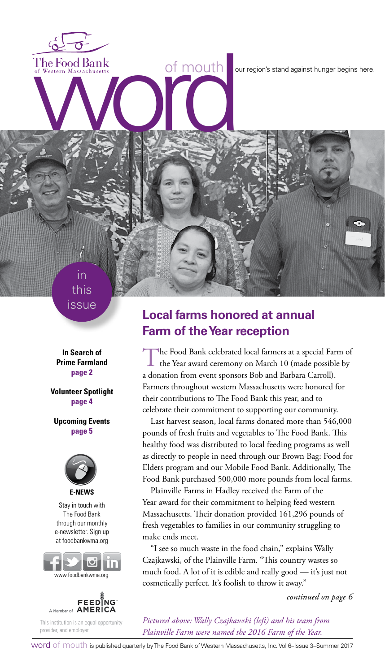The Food Bank<br>of Western Massachusetts<br>and Western Massachusetts<br>and Western Massachusetts<br>and Contract on the Contract of Multiple Degins here.

this issue

in

**In Search of Prime Farmland page 2**

**Volunteer Spotlight page 4**

**Upcoming Events page 5**



Stay in touch with The Food Bank through our monthly e-newsletter. Sign up at foodbankwma.org





This institution is an equal opportunity provider, and employer.

## **Local farms honored at annual Farm of the Year reception**

The Food Bank celebrated local farmers at a special Farm of the Year award ceremony on March 10 (made possible by a donation from event sponsors Bob and Barbara Carroll). Farmers throughout western Massachusetts were honored for their contributions to The Food Bank this year, and to celebrate their commitment to supporting our community.

Last harvest season, local farms donated more than 546,000 pounds of fresh fruits and vegetables to The Food Bank. This healthy food was distributed to local feeding programs as well as directly to people in need through our Brown Bag: Food for Elders program and our Mobile Food Bank. Additionally, The Food Bank purchased 500,000 more pounds from local farms.

Plainville Farms in Hadley received the Farm of the Year award for their commitment to helping feed western Massachusetts. Their donation provided 161,296 pounds of fresh vegetables to families in our community struggling to make ends meet.

"I see so much waste in the food chain," explains Wally Czajkawski, of the Plainville Farm. "This country wastes so much food. A lot of it is edible and really good — it's just not cosmetically perfect. It's foolish to throw it away."

*continued on page 6*

*Pictured above: Wally Czajkawski (left) and his team from Plainville Farm were named the 2016 Farm of the Year.*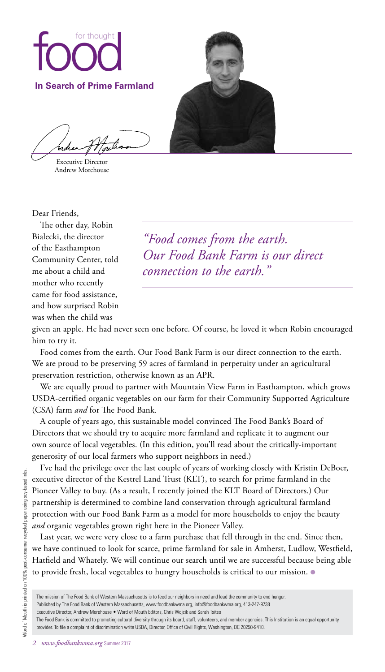

Executive Director Andrew Morehouse

Dear Friends,

The other day, Robin Bialecki, the director of the Easthampton Community Center, told me about a child and mother who recently came for food assistance, and how surprised Robin was when the child was

*"Food comes from the earth. Our Food Bank Farm is our direct connection to the earth."*

given an apple. He had never seen one before. Of course, he loved it when Robin encouraged him to try it.

Food comes from the earth. Our Food Bank Farm is our direct connection to the earth. We are proud to be preserving 59 acres of farmland in perpetuity under an agricultural preservation restriction, otherwise known as an APR.

We are equally proud to partner with Mountain View Farm in Easthampton, which grows USDA-certified organic vegetables on our farm for their Community Supported Agriculture (CSA) farm *and* for The Food Bank.

A couple of years ago, this sustainable model convinced The Food Bank's Board of Directors that we should try to acquire more farmland and replicate it to augment our own source of local vegetables. (In this edition, you'll read about the critically-important generosity of our local farmers who support neighbors in need.)

I've had the privilege over the last couple of years of working closely with Kristin DeBoer, executive director of the Kestrel Land Trust (KLT), to search for prime farmland in the Pioneer Valley to buy. (As a result, I recently joined the KLT Board of Directors.) Our partnership is determined to combine land conservation through agricultural farmland protection with our Food Bank Farm as a model for more households to enjoy the beauty *and* organic vegetables grown right here in the Pioneer Valley.

Last year, we were very close to a farm purchase that fell through in the end. Since then, we have continued to look for scarce, prime farmland for sale in Amherst, Ludlow, Westfield, Hatfield and Whately. We will continue our search until we are successful because being able to provide fresh, local vegetables to hungry households is critical to our mission. ●

Published by The Food Bank of Western Massachusetts, www.foodbankwma.org, info@foodbankwma.org, 413-247-9738

Executive Director, Andrew Morehouse • Word of Mouth Editors, Chris Wojcik and Sarah Tsitso

The Food Bank is committed to promoting cultural diversity through its board, staff, volunteers, and member agencies. This Institution is an equal opportunity provider. To file a complaint of discrimination write USDA, Director, Office of Civil Rights, Washington, DC 20250-9410.

The mission of The Food Bank of Western Massachusetts is to feed our neighbors in need and lead the community to end hunger.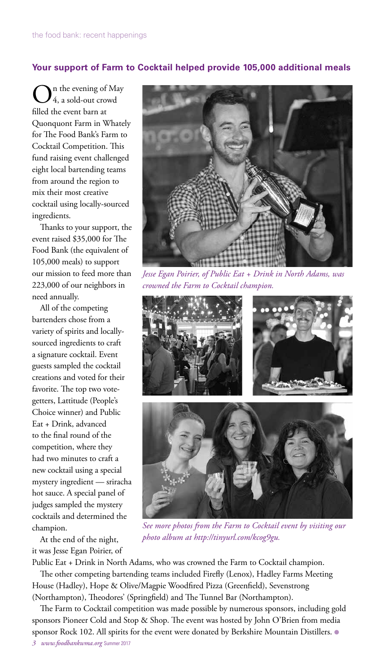### **Your support of Farm to Cocktail helped provide 105,000 additional meals**

n the evening of May 4, a sold-out crowd filled the event barn at Quonquont Farm in Whately for The Food Bank's Farm to Cocktail Competition. This fund raising event challenged eight local bartending teams from around the region to mix their most creative cocktail using locally-sourced ingredients.

Thanks to your support, the event raised \$35,000 for The Food Bank (the equivalent of 105,000 meals) to support our mission to feed more than 223,000 of our neighbors in need annually.

All of the competing bartenders chose from a variety of spirits and locallysourced ingredients to craft a signature cocktail. Event guests sampled the cocktail creations and voted for their favorite. The top two votegetters, Lattitude (People's Choice winner) and Public Eat + Drink, advanced to the final round of the competition, where they had two minutes to craft a new cocktail using a special mystery ingredient — sriracha hot sauce. A special panel of judges sampled the mystery cocktails and determined the champion.

At the end of the night, it was Jesse Egan Poirier, of



*Jesse Egan Poirier, of Public Eat + Drink in North Adams, was crowned the Farm to Cocktail champion.*



*See more photos from the Farm to Cocktail event by visiting our photo album at http://tinyurl.com/kcog9gu.*

Public Eat + Drink in North Adams, who was crowned the Farm to Cocktail champion.

The other competing bartending teams included Firefly (Lenox), Hadley Farms Meeting House (Hadley), Hope & Olive/Magpie Woodfired Pizza (Greenfield), Sevenstrong (Northampton), Theodores' (Springfield) and The Tunnel Bar (Northampton).

The Farm to Cocktail competition was made possible by numerous sponsors, including gold sponsors Pioneer Cold and Stop & Shop. The event was hosted by John O'Brien from media sponsor Rock 102. All spirits for the event were donated by Berkshire Mountain Distillers. . *3 www.foodbankwma.org* Summer 2017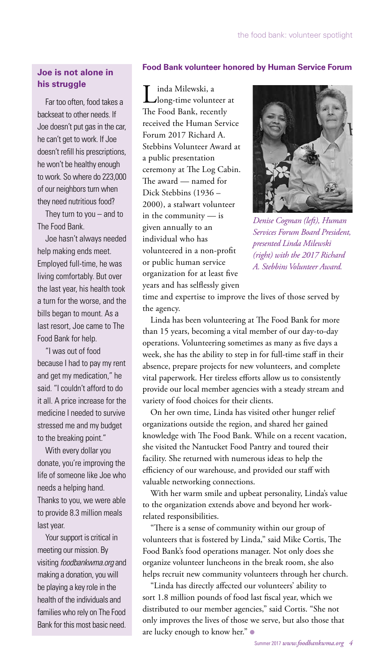## **Joe is not alone in his struggle**

Far too often, food takes a backseat to other needs. If Joe doesn't put gas in the car, he can't get to work. If Joe doesn't refill his prescriptions, he won't be healthy enough to work. So where do 223,000 of our neighbors turn when they need nutritious food?

They turn to you  $-$  and to The Food Bank.

Joe hasn't always needed help making ends meet. Employed full-time, he was living comfortably. But over the last year, his health took a turn for the worse, and the bills began to mount. As a last resort, Joe came to The Food Bank for help.

"I was out of food because I had to pay my rent and get my medication," he said. "I couldn't afford to do it all. A price increase for the medicine I needed to survive stressed me and my budget to the breaking point."

With every dollar you donate, you're improving the life of someone like Joe who needs a helping hand. Thanks to you, we were able to provide 8.3 million meals last year.

Your support is critical in meeting our mission. By visiting foodbankwma.org and making a donation, you will be playing a key role in the health of the individuals and families who rely on The Food Bank for this most basic need.

#### **Food Bank volunteer honored by Human Service Forum**

Linda Milewski, a<br>Llong-time volunteer at The Food Bank, recently received the Human Service Forum 2017 Richard A. Stebbins Volunteer Award at a public presentation ceremony at The Log Cabin. The award — named for Dick Stebbins (1936 – 2000), a stalwart volunteer in the community — is given annually to an individual who has volunteered in a non-profit or public human service organization for at least five years and has selflessly given



*Denise Cogman (left), Human Services Forum Board President, presented Linda Milewski (right) with the 2017 Richard A. Stebbins Volunteer Award.*

time and expertise to improve the lives of those served by the agency.

Linda has been volunteering at The Food Bank for more than 15 years, becoming a vital member of our day-to-day operations. Volunteering sometimes as many as five days a week, she has the ability to step in for full-time staff in their absence, prepare projects for new volunteers, and complete vital paperwork. Her tireless efforts allow us to consistently provide our local member agencies with a steady stream and variety of food choices for their clients.

On her own time, Linda has visited other hunger relief organizations outside the region, and shared her gained knowledge with The Food Bank. While on a recent vacation, she visited the Nantucket Food Pantry and toured their facility. She returned with numerous ideas to help the efficiency of our warehouse, and provided our staff with valuable networking connections.

With her warm smile and upbeat personality, Linda's value to the organization extends above and beyond her workrelated responsibilities.

"There is a sense of community within our group of volunteers that is fostered by Linda," said Mike Cortis, The Food Bank's food operations manager. Not only does she organize volunteer luncheons in the break room, she also helps recruit new community volunteers through her church.

"Linda has directly affected our volunteers' ability to sort 1.8 million pounds of food last fiscal year, which we distributed to our member agencies," said Cortis. "She not only improves the lives of those we serve, but also those that are lucky enough to know her." ●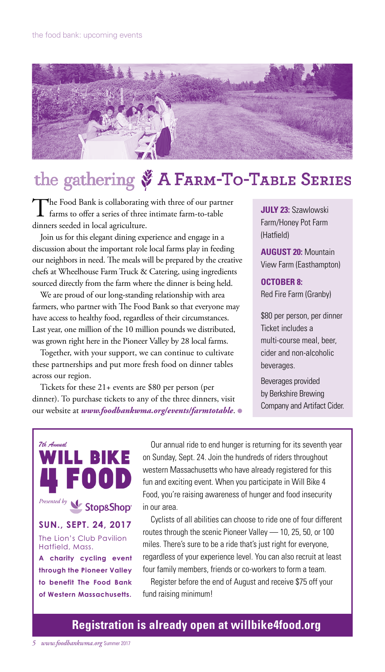

# the gathering & A FARM-TO-TABLE SERIES

The Food Bank is collaborating with three of our partner farms to offer a series of three intimate farm-to-table dinners seeded in local agriculture.

Join us for this elegant dining experience and engage in a discussion about the important role local farms play in feeding our neighbors in need. The meals will be prepared by the creative chefs at Wheelhouse Farm Truck & Catering, using ingredients sourced directly from the farm where the dinner is being held.

We are proud of our long-standing relationship with area farmers, who partner with The Food Bank so that everyone may have access to healthy food, regardless of their circumstances. Last year, one million of the 10 million pounds we distributed, was grown right here in the Pioneer Valley by 28 local farms.

Together, with your support, we can continue to cultivate these partnerships and put more fresh food on dinner tables across our region.

Tickets for these 21+ events are \$80 per person (per dinner). To purchase tickets to any of the three dinners, visit our website at *www.foodbankwma.org/events/farmtotable*. ●

**JULY 23:** Szawlowski Farm/Honey Pot Farm (Hatfield)

**AUGUST 20:** Mountain View Farm (Easthampton)

**OCTOBER 8:** Red Fire Farm (Granby)

\$80 per person, per dinner Ticket includes a multi-course meal, beer, cider and non-alcoholic beverages.

Beverages provided by Berkshire Brewing Company and Artifact Cider.



Our annual ride to end hunger is returning for its seventh year on Sunday, Sept. 24. Join the hundreds of riders throughout western Massachusetts who have already registered for this fun and exciting event. When you participate in Will Bike 4 Food, you're raising awareness of hunger and food insecurity in our area.

Cyclists of all abilities can choose to ride one of four different routes through the scenic Pioneer Valley — 10, 25, 50, or 100 miles. There's sure to be a ride that's just right for everyone, regardless of your experience level. You can also recruit at least four family members, friends or co-workers to form a team.

Register before the end of August and receive \$75 off your fund raising minimum!

## **Registration is already open at willbike4food.org**